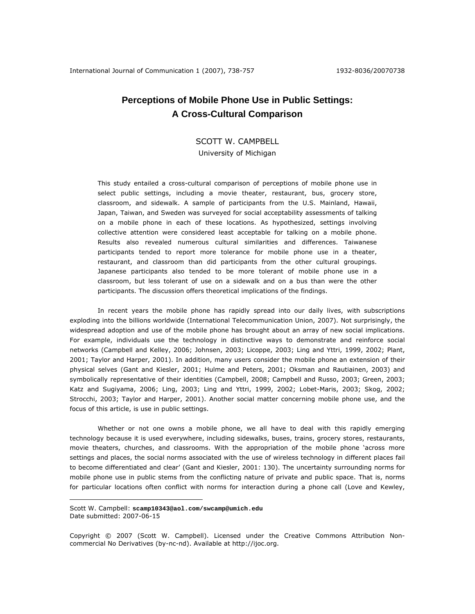# **Perceptions of Mobile Phone Use in Public Settings: A Cross-Cultural Comparison**

SCOTT W. CAMPBELL University of Michigan

This study entailed a cross-cultural comparison of perceptions of mobile phone use in select public settings, including a movie theater, restaurant, bus, grocery store, classroom, and sidewalk. A sample of participants from the U.S. Mainland, Hawaii, Japan, Taiwan, and Sweden was surveyed for social acceptability assessments of talking on a mobile phone in each of these locations. As hypothesized, settings involving collective attention were considered least acceptable for talking on a mobile phone. Results also revealed numerous cultural similarities and differences. Taiwanese participants tended to report more tolerance for mobile phone use in a theater, restaurant, and classroom than did participants from the other cultural groupings. Japanese participants also tended to be more tolerant of mobile phone use in a classroom, but less tolerant of use on a sidewalk and on a bus than were the other participants. The discussion offers theoretical implications of the findings.

In recent years the mobile phone has rapidly spread into our daily lives, with subscriptions exploding into the billions worldwide (International Telecommunication Union, 2007). Not surprisingly, the widespread adoption and use of the mobile phone has brought about an array of new social implications. For example, individuals use the technology in distinctive ways to demonstrate and reinforce social networks (Campbell and Kelley, 2006; Johnsen, 2003; Licoppe, 2003; Ling and Yttri, 1999, 2002; Plant, 2001; Taylor and Harper, 2001). In addition, many users consider the mobile phone an extension of their physical selves (Gant and Kiesler, 2001; Hulme and Peters, 2001; Oksman and Rautiainen, 2003) and symbolically representative of their identities (Campbell, 2008; Campbell and Russo, 2003; Green, 2003; Katz and Sugiyama, 2006; Ling, 2003; Ling and Yttri, 1999, 2002; Lobet-Maris, 2003; Skog, 2002; Strocchi, 2003; Taylor and Harper, 2001). Another social matter concerning mobile phone use, and the focus of this article, is use in public settings.

Whether or not one owns a mobile phone, we all have to deal with this rapidly emerging technology because it is used everywhere, including sidewalks, buses, trains, grocery stores, restaurants, movie theaters, churches, and classrooms. With the appropriation of the mobile phone 'across more settings and places, the social norms associated with the use of wireless technology in different places fail to become differentiated and clear' (Gant and Kiesler, 2001: 130). The uncertainty surrounding norms for mobile phone use in public stems from the conflicting nature of private and public space. That is, norms for particular locations often conflict with norms for interaction during a phone call (Love and Kewley,

Scott W. Campbell: **scamp10343@aol.com/swcamp@umich.edu** Date submitted: 2007-06-15

Copyright © 2007 (Scott W. Campbell). Licensed under the Creative Commons Attribution Noncommercial No Derivatives (by-nc-nd). Available at http://ijoc.org.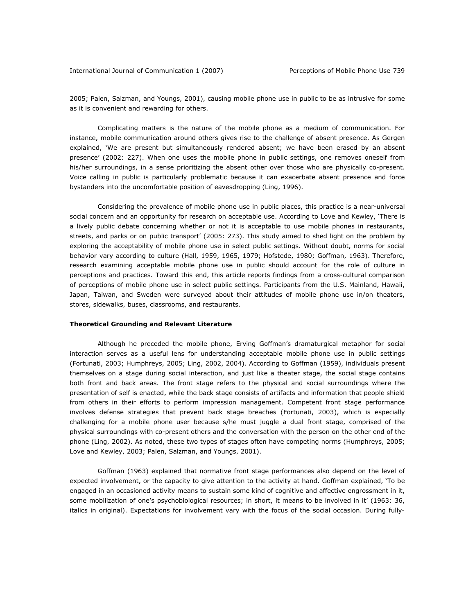2005; Palen, Salzman, and Youngs, 2001), causing mobile phone use in public to be as intrusive for some as it is convenient and rewarding for others.

Complicating matters is the nature of the mobile phone as a medium of communication. For instance, mobile communication around others gives rise to the challenge of absent presence. As Gergen explained, 'We are present but simultaneously rendered absent; we have been erased by an absent presence' (2002: 227). When one uses the mobile phone in public settings, one removes oneself from his/her surroundings, in a sense prioritizing the absent other over those who are physically co-present. Voice calling in public is particularly problematic because it can exacerbate absent presence and force bystanders into the uncomfortable position of eavesdropping (Ling, 1996).

Considering the prevalence of mobile phone use in public places, this practice is a near-universal social concern and an opportunity for research on acceptable use. According to Love and Kewley, 'There is a lively public debate concerning whether or not it is acceptable to use mobile phones in restaurants, streets, and parks or on public transport' (2005: 273). This study aimed to shed light on the problem by exploring the acceptability of mobile phone use in select public settings. Without doubt, norms for social behavior vary according to culture (Hall, 1959, 1965, 1979; Hofstede, 1980; Goffman, 1963). Therefore, research examining acceptable mobile phone use in public should account for the role of culture in perceptions and practices. Toward this end, this article reports findings from a cross-cultural comparison of perceptions of mobile phone use in select public settings. Participants from the U.S. Mainland, Hawaii, Japan, Taiwan, and Sweden were surveyed about their attitudes of mobile phone use in/on theaters, stores, sidewalks, buses, classrooms, and restaurants.

## *Theoretical Grounding and Relevant Literature*

 Although he preceded the mobile phone, Erving Goffman's dramaturgical metaphor for social interaction serves as a useful lens for understanding acceptable mobile phone use in public settings (Fortunati, 2003; Humphreys, 2005; Ling, 2002, 2004). According to Goffman (1959), individuals present themselves on a stage during social interaction, and just like a theater stage, the social stage contains both front and back areas. The front stage refers to the physical and social surroundings where the presentation of self is enacted, while the back stage consists of artifacts and information that people shield from others in their efforts to perform impression management. Competent front stage performance involves defense strategies that prevent back stage breaches (Fortunati, 2003), which is especially challenging for a mobile phone user because s/he must juggle a dual front stage, comprised of the physical surroundings with co-present others and the conversation with the person on the other end of the phone (Ling, 2002). As noted, these two types of stages often have competing norms (Humphreys, 2005; Love and Kewley, 2003; Palen, Salzman, and Youngs, 2001).

 Goffman (1963) explained that normative front stage performances also depend on the level of expected involvement, or the capacity to give attention to the activity at hand. Goffman explained, 'To be engaged in an occasioned activity means to sustain some kind of cognitive and affective engrossment in it, some mobilization of one's psychobiological resources; in short, it means to be *involved* in it' (1963: 36, italics in original). Expectations for involvement vary with the focus of the social occasion. During *fully-*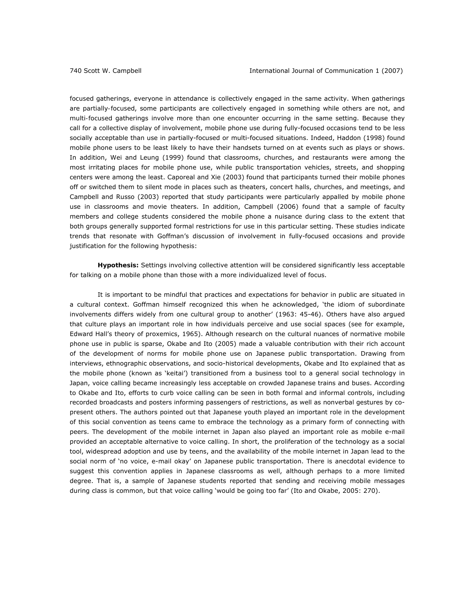*focused* gatherings, everyone in attendance is collectively engaged in the same activity. When gatherings are *partially-focused*, some participants are collectively engaged in something while others are not, and *multi-focused* gatherings involve more than one encounter occurring in the same setting. Because they call for a collective display of involvement, mobile phone use during fully-focused occasions tend to be less socially acceptable than use in partially-focused or multi-focused situations. Indeed, Haddon (1998) found mobile phone users to be least likely to have their handsets turned on at events such as plays or shows. In addition, Wei and Leung (1999) found that classrooms, churches, and restaurants were among the most irritating places for mobile phone use, while public transportation vehicles, streets, and shopping centers were among the least. Caporeal and Xie (2003) found that participants turned their mobile phones off or switched them to silent mode in places such as theaters, concert halls, churches, and meetings, and Campbell and Russo (2003) reported that study participants were particularly appalled by mobile phone use in classrooms and movie theaters. In addition, Campbell (2006) found that a sample of faculty members and college students considered the mobile phone a nuisance during class to the extent that both groups generally supported formal restrictions for use in this particular setting. These studies indicate trends that resonate with Goffman's discussion of involvement in fully-focused occasions and provide justification for the following hypothesis:

**Hypothesis:** Settings involving collective attention will be considered significantly less acceptable for talking on a mobile phone than those with a more individualized level of focus.

It is important to be mindful that practices and expectations for behavior in public are situated in a cultural context. Goffman himself recognized this when he acknowledged, 'the idiom of subordinate involvements differs widely from one cultural group to another' (1963: 45-46). Others have also argued that culture plays an important role in how individuals perceive and use social spaces (see for example, Edward Hall's theory of proxemics, 1965). Although research on the cultural nuances of normative mobile phone use in public is sparse, Okabe and Ito (2005) made a valuable contribution with their rich account of the development of norms for mobile phone use on Japanese public transportation. Drawing from interviews, ethnographic observations, and socio-historical developments, Okabe and Ito explained that as the mobile phone (known as 'keitai') transitioned from a business tool to a general social technology in Japan, voice calling became increasingly less acceptable on crowded Japanese trains and buses. According to Okabe and Ito, efforts to curb voice calling can be seen in both formal and informal controls, including recorded broadcasts and posters informing passengers of restrictions, as well as nonverbal gestures by copresent others. The authors pointed out that Japanese youth played an important role in the development of this social convention as teens came to embrace the technology as a primary form of connecting with peers. The development of the mobile internet in Japan also played an important role as mobile e-mail provided an acceptable alternative to voice calling. In short, the proliferation of the technology as a social tool, widespread adoption and use by teens, and the availability of the mobile internet in Japan lead to the social norm of 'no voice, e-mail okay' on Japanese public transportation. There is anecdotal evidence to suggest this convention applies in Japanese classrooms as well, although perhaps to a more limited degree. That is, a sample of Japanese students reported that sending and receiving mobile messages during class is common, but that voice calling 'would be going too far' (Ito and Okabe, 2005: 270).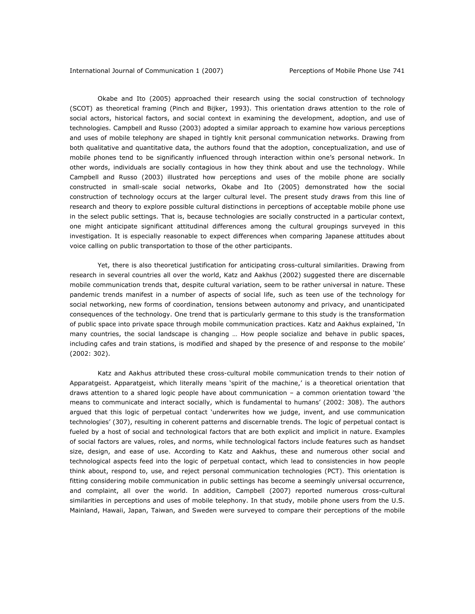Okabe and Ito (2005) approached their research using the social construction of technology (SCOT) as theoretical framing (Pinch and Bijker, 1993). This orientation draws attention to the role of social actors, historical factors, and social context in examining the development, adoption, and use of technologies. Campbell and Russo (2003) adopted a similar approach to examine how various perceptions and uses of mobile telephony are shaped in tightly knit personal communication networks. Drawing from both qualitative and quantitative data, the authors found that the adoption, conceptualization, and use of mobile phones tend to be significantly influenced through interaction within one's personal network. In other words, individuals are socially contagious in how they think about and use the technology. While Campbell and Russo (2003) illustrated how perceptions and uses of the mobile phone are socially constructed in small-scale social networks, Okabe and Ito (2005) demonstrated how the social construction of technology occurs at the larger cultural level. The present study draws from this line of research and theory to explore possible cultural distinctions in perceptions of acceptable mobile phone use in the select public settings. That is, because technologies are socially constructed in a particular context, one might anticipate significant attitudinal differences among the cultural groupings surveyed in this investigation. It is especially reasonable to expect differences when comparing Japanese attitudes about voice calling on public transportation to those of the other participants.

Yet, there is also theoretical justification for anticipating cross-cultural similarities. Drawing from research in several countries all over the world, Katz and Aakhus (2002) suggested there are discernable mobile communication trends that, despite cultural variation, seem to be rather universal in nature. These pandemic trends manifest in a number of aspects of social life, such as teen use of the technology for social networking, new forms of coordination, tensions between autonomy and privacy, and unanticipated consequences of the technology. One trend that is particularly germane to this study is the transformation of public space into private space through mobile communication practices. Katz and Aakhus explained, 'In many countries, the social landscape is changing … How people socialize and behave in public spaces, including cafes and train stations, is modified and shaped by the presence of and response to the mobile' (2002: 302).

Katz and Aakhus attributed these cross-cultural mobile communication trends to their notion of *Apparatgeist*. Apparatgeist, which literally means 'spirit of the machine,' is a theoretical orientation that draws attention to a shared logic people have about communication – a common orientation toward 'the means to communicate and interact socially, which is fundamental to humans' (2002: 308). The authors argued that this logic of *perpetual contact* 'underwrites how we judge, invent, and use communication technologies' (307), resulting in coherent patterns and discernable trends. The logic of perpetual contact is fueled by a host of social and technological factors that are both explicit and implicit in nature. Examples of social factors are values, roles, and norms, while technological factors include features such as handset size, design, and ease of use. According to Katz and Aakhus, these and numerous other social and technological aspects feed into the logic of perpetual contact, which lead to consistencies in how people think about, respond to, use, and reject personal communication technologies (PCT). This orientation is fitting considering mobile communication in public settings has become a seemingly universal occurrence, and complaint, all over the world. In addition, Campbell (2007) reported numerous cross-cultural similarities in perceptions and uses of mobile telephony. In that study, mobile phone users from the U.S. Mainland, Hawaii, Japan, Taiwan, and Sweden were surveyed to compare their perceptions of the mobile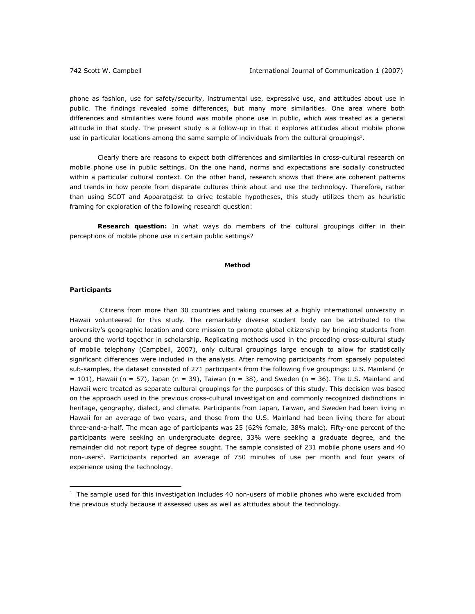phone as fashion, use for safety/security, instrumental use, expressive use, and attitudes about use in public. The findings revealed some differences, but many more similarities. One area where both differences and similarities were found was mobile phone use in public, which was treated as a general attitude in that study. The present study is a follow-up in that it explores attitudes about mobile phone use in particular locations among the same sample of individuals from the cultural groupings<sup>1</sup>.

Clearly there are reasons to expect both differences and similarities in cross-cultural research on mobile phone use in public settings. On the one hand, norms and expectations are socially constructed within a particular cultural context. On the other hand, research shows that there are coherent patterns and trends in how people from disparate cultures think about and use the technology. Therefore, rather than using SCOT and Apparatgeist to drive testable hypotheses, this study utilizes them as heuristic framing for exploration of the following research question:

**Research question:** In what ways do members of the cultural groupings differ in their perceptions of mobile phone use in certain public settings?

#### **Method**

### *Participants*

 $\overline{a}$ 

 Citizens from more than 30 countries and taking courses at a highly international university in Hawaii volunteered for this study. The remarkably diverse student body can be attributed to the university's geographic location and core mission to promote global citizenship by bringing students from around the world together in scholarship. Replicating methods used in the preceding cross-cultural study of mobile telephony (Campbell, 2007), only cultural groupings large enough to allow for statistically significant differences were included in the analysis. After removing participants from sparsely populated sub-samples, the dataset consisted of 271 participants from the following five groupings: U.S. Mainland (*n* = 101), Hawaii (*n* = 57), Japan (*n* = 39), Taiwan (*n* = 38), and Sweden (*n* = 36). The U.S. Mainland and Hawaii were treated as separate cultural groupings for the purposes of this study. This decision was based on the approach used in the previous cross-cultural investigation and commonly recognized distinctions in heritage, geography, dialect, and climate. Participants from Japan, Taiwan, and Sweden had been living in Hawaii for an average of two years, and those from the U.S. Mainland had been living there for about three-and-a-half. The mean age of participants was 25 (62% female, 38% male). Fifty-one percent of the participants were seeking an undergraduate degree, 33% were seeking a graduate degree, and the remainder did not report type of degree sought. The sample consisted of 231 mobile phone users and 40 non-users<sup>1</sup>. Participants reported an average of 750 minutes of use per month and four years of experience using the technology.

 $1$  The sample used for this investigation includes 40 non-users of mobile phones who were excluded from the previous study because it assessed uses as well as attitudes about the technology.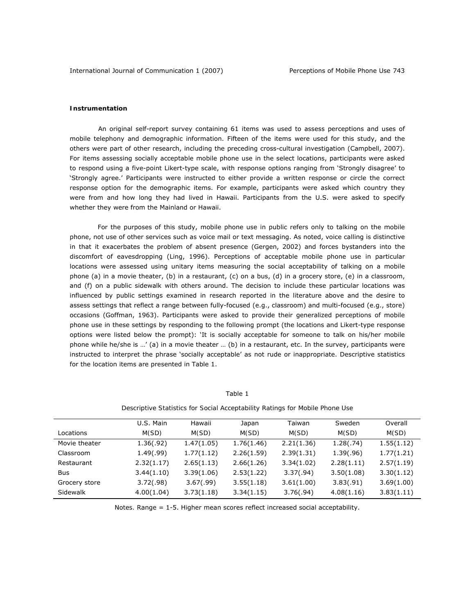#### *Instrumentation*

 An original self-report survey containing 61 items was used to assess perceptions and uses of mobile telephony and demographic information. Fifteen of the items were used for this study, and the others were part of other research, including the preceding cross-cultural investigation (Campbell, 2007). For items assessing socially acceptable mobile phone use in the select locations, participants were asked to respond using a five-point Likert-type scale, with response options ranging from 'Strongly disagree' to 'Strongly agree.' Participants were instructed to either provide a written response or circle the correct response option for the demographic items. For example, participants were asked which country they were from and how long they had lived in Hawaii. Participants from the U.S. were asked to specify whether they were from the Mainland or Hawaii.

For the purposes of this study, mobile phone use in public refers only to talking on the mobile phone, not use of other services such as voice mail or text messaging. As noted, voice calling is distinctive in that it exacerbates the problem of absent presence (Gergen, 2002) and forces bystanders into the discomfort of eavesdropping (Ling, 1996). Perceptions of acceptable mobile phone use in particular locations were assessed using unitary items measuring the social acceptability of talking on a mobile phone (a) in a movie theater, (b) in a restaurant, (c) on a bus, (d) in a grocery store, (e) in a classroom, and (f) on a public sidewalk with others around. The decision to include these particular locations was influenced by public settings examined in research reported in the literature above and the desire to assess settings that reflect a range between fully-focused (e.g., classroom) and multi-focused (e.g., store) occasions (Goffman, 1963). Participants were asked to provide their generalized perceptions of mobile phone use in these settings by responding to the following prompt (the locations and Likert-type response options were listed below the prompt): 'It is socially acceptable for someone to talk on his/her mobile phone while he/she is ...' (a) in a movie theater ... (b) in a restaurant, etc. In the survey, participants were instructed to interpret the phrase 'socially acceptable' as not rude or inappropriate. Descriptive statistics for the location items are presented in Table 1.

|               | socompano stationos non sociam nocopialem pritamiquino, moleno niveno soc |            |            |            |            |            |
|---------------|---------------------------------------------------------------------------|------------|------------|------------|------------|------------|
|               | U.S. Main                                                                 | Hawaii     | Japan      | Taiwan     | Sweden     | Overall    |
| Locations     | M(SD)                                                                     | M(SD)      | M(SD)      | M(SD)      | M(SD)      | M(SD)      |
| Movie theater | 1.36(.92)                                                                 | 1.47(1.05) | 1.76(1.46) | 2.21(1.36) | 1.28(.74)  | 1.55(1.12) |
| Classroom     | 1.49(.99)                                                                 | 1.77(1.12) | 2.26(1.59) | 2.39(1.31) | 1.39(.96)  | 1.77(1.21) |
| Restaurant    | 2.32(1.17)                                                                | 2.65(1.13) | 2.66(1.26) | 3.34(1.02) | 2.28(1.11) | 2.57(1.19) |
| Bus           | 3.44(1.10)                                                                | 3.39(1.06) | 2.53(1.22) | 3.37(.94)  | 3.50(1.08) | 3.30(1.12) |
| Grocery store | 3.72(.98)                                                                 | 3.67(.99)  | 3.55(1.18) | 3.61(1.00) | 3.83(.91)  | 3.69(1.00) |
| Sidewalk      | 4.00(1.04)                                                                | 3.73(1.18) | 3.34(1.15) | 3.76(.94)  | 4.08(1.16) | 3.83(1.11) |

## Table 1

*Descriptive Statistics for Social Acceptability Ratings for Mobile Phone Use* 

*Notes.* Range = 1-5. Higher mean scores reflect increased social acceptability.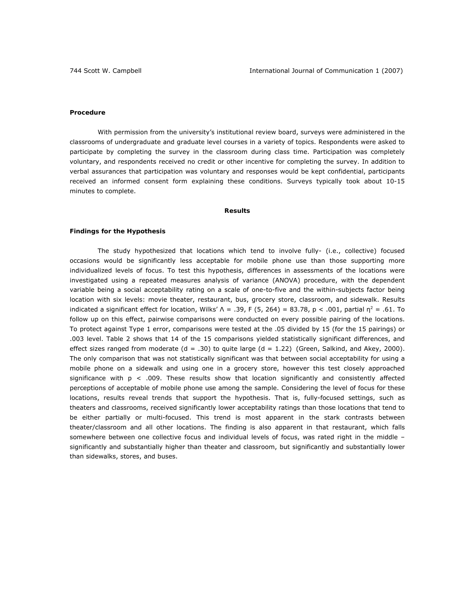#### *Procedure*

With permission from the university's institutional review board, surveys were administered in the classrooms of undergraduate and graduate level courses in a variety of topics. Respondents were asked to participate by completing the survey in the classroom during class time. Participation was completely voluntary, and respondents received no credit or other incentive for completing the survey. In addition to verbal assurances that participation was voluntary and responses would be kept confidential, participants received an informed consent form explaining these conditions. Surveys typically took about 10-15 minutes to complete.

### **Results**

#### *Findings for the Hypothesis*

The study hypothesized that locations which tend to involve fully- (i.e., collective) focused occasions would be significantly less acceptable for mobile phone use than those supporting more individualized levels of focus. To test this hypothesis, differences in assessments of the locations were investigated using a repeated measures analysis of variance (ANOVA) procedure, with the dependent variable being a social acceptability rating on a scale of one-to-five and the within-subjects factor being location with six levels: movie theater, restaurant, bus, grocery store, classroom, and sidewalk. Results indicated a significant effect for location, Wilks'  $\Lambda = .39$ ,  $F(5, 264) = 83.78$ ,  $p < .001$ , partial  $\eta^2 = .61$ . To follow up on this effect, pairwise comparisons were conducted on every possible pairing of the locations. To protect against Type 1 error, comparisons were tested at the .05 divided by 15 (for the 15 pairings) or .003 level. Table 2 shows that 14 of the 15 comparisons yielded statistically significant differences, and effect sizes ranged from moderate  $(d = .30)$  to quite large  $(d = 1.22)$  (Green, Salkind, and Akey, 2000). The only comparison that was not statistically significant was that between social acceptability for using a mobile phone on a sidewalk and using one in a grocery store, however this test closely approached significance with  $p < .009$ . These results show that location significantly and consistently affected perceptions of acceptable of mobile phone use among the sample. Considering the level of focus for these locations, results reveal trends that support the hypothesis. That is, fully-focused settings, such as theaters and classrooms, received significantly lower acceptability ratings than those locations that tend to be either partially or multi-focused. This trend is most apparent in the stark contrasts between theater/classroom and all other locations. The finding is also apparent in that restaurant, which falls somewhere between one collective focus and individual levels of focus, was rated right in the middle significantly and substantially higher than theater and classroom, but significantly and substantially lower than sidewalks, stores, and buses.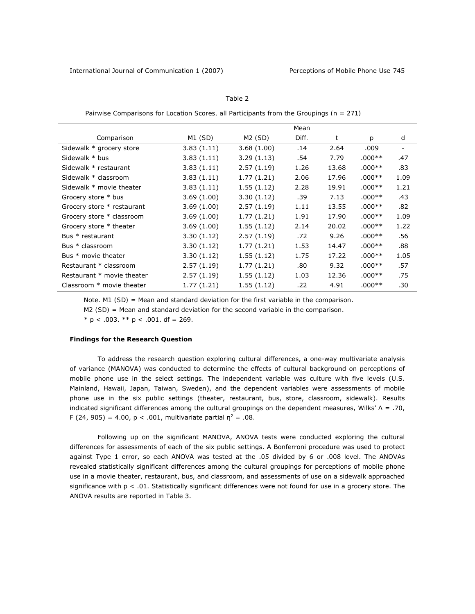| ،ι<br>4 D |  |
|-----------|--|
|           |  |

*Pairwise Comparisons for Location Scores, all Participants from the Groupings (*n *= 271)*

|                            |             |            | Mean  |       |               |                          |
|----------------------------|-------------|------------|-------|-------|---------------|--------------------------|
| Comparison                 | M1 (SD)     | M2 (SD)    | Diff. | t     | $\mathcal{D}$ | d                        |
| Sidewalk * grocery store   | 3.83(1.11)  | 3.68(1.00) | .14   | 2.64  | .009          | $\overline{\phantom{a}}$ |
| Sidewalk * bus             | 3.83(1.11)  | 3.29(1.13) | .54   | 7.79  | $.000**$      | .47                      |
| Sidewalk * restaurant      | 3.83(1.11)  | 2.57(1.19) | 1.26  | 13.68 | $.000**$      | .83                      |
| Sidewalk * classroom       | 3.83(1.11)  | 1.77(1.21) | 2.06  | 17.96 | $.000**$      | 1.09                     |
| Sidewalk * movie theater   | 3.83(1.11)  | 1.55(1.12) | 2.28  | 19.91 | $.000**$      | 1.21                     |
| Grocery store * bus        | 3.69(1.00)  | 3.30(1.12) | .39   | 7.13  | $.000**$      | .43                      |
| Grocery store * restaurant | 3.69 (1.00) | 2.57(1.19) | 1.11  | 13.55 | $.000**$      | .82                      |
| Grocery store * classroom  | 3.69(1.00)  | 1.77(1.21) | 1.91  | 17.90 | $.000**$      | 1.09                     |
| Grocery store * theater    | 3.69(1.00)  | 1.55(1.12) | 2.14  | 20.02 | $.000**$      | 1.22                     |
| Bus * restaurant           | 3.30(1.12)  | 2.57(1.19) | .72   | 9.26  | $.000**$      | .56                      |
| Bus * classroom            | 3.30(1.12)  | 1.77(1.21) | 1.53  | 14.47 | $.000**$      | .88                      |
| Bus * movie theater        | 3.30(1.12)  | 1.55(1.12) | 1.75  | 17.22 | $.000**$      | 1.05                     |
| Restaurant * classroom     | 2.57(1.19)  | 1.77(1.21) | .80   | 9.32  | $.000**$      | .57                      |
| Restaurant * movie theater | 2.57(1.19)  | 1.55(1.12) | 1.03  | 12.36 | $.000**$      | .75                      |
| Classroom * movie theater  | 1.77 (1.21) | 1.55(1.12) | .22   | 4.91  | $.000**$      | .30                      |

*Note. M1 (SD)* = Mean and standard deviation for the first variable in the comparison.

*M2 (SD)* = Mean and standard deviation for the second variable in the comparison.

 $* p < .003$ .  $** p < .001$ . *df* = 269.

#### *Findings for the Research Question*

To address the research question exploring cultural differences, a one-way multivariate analysis of variance (MANOVA) was conducted to determine the effects of cultural background on perceptions of mobile phone use in the select settings. The independent variable was culture with five levels (U.S. Mainland, Hawaii, Japan, Taiwan, Sweden), and the dependent variables were assessments of mobile phone use in the six public settings (theater, restaurant, bus, store, classroom, sidewalk). Results indicated significant differences among the cultural groupings on the dependent measures, Wilks' Λ = .70, *F* (24, 905) = 4.00,  $p < .001$ , multivariate partial  $\eta^2 = .08$ .

Following up on the significant MANOVA, ANOVA tests were conducted exploring the cultural differences for assessments of each of the six public settings. A Bonferroni procedure was used to protect against Type 1 error, so each ANOVA was tested at the .05 divided by 6 or .008 level. The ANOVAs revealed statistically significant differences among the cultural groupings for perceptions of mobile phone use in a movie theater, restaurant, bus, and classroom, and assessments of use on a sidewalk approached significance with  $p < .01$ . Statistically significant differences were not found for use in a grocery store. The ANOVA results are reported in Table 3.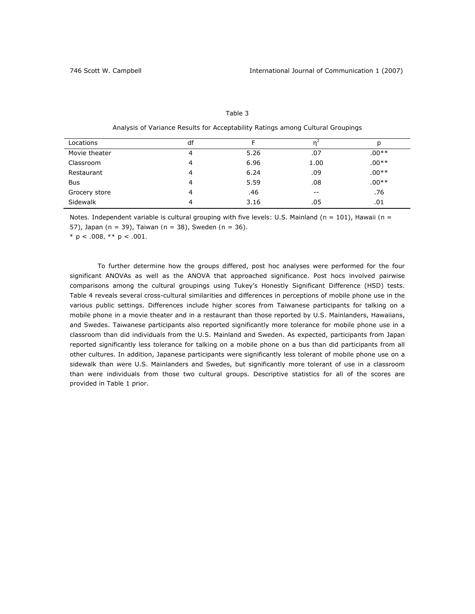| Locations     | df |      | 'n    | р       |
|---------------|----|------|-------|---------|
| Movie theater | 4  | 5.26 | .07   | $.00**$ |
| Classroom     | 4  | 6.96 | 1.00  | $.00**$ |
| Restaurant    |    | 6.24 | .09   | $.00**$ |
| <b>Bus</b>    | 4  | 5.59 | .08   | $.00**$ |
| Grocery store | 4  | .46  | $- -$ | .76     |
| Sidewalk      | 4  | 3.16 | .05   | .01     |

## Table 3

*Analysis of Variance Results for Acceptability Ratings among Cultural Groupings* 

*Notes.* Independent variable is cultural grouping with five levels: U.S. Mainland (*n* = 101), Hawaii *(n* =

57), Japan *(n* = 39), Taiwan *(n* = 38), Sweden *(n* = 36).

*\* p < .008, \*\* p < .001.* 

To further determine how the groups differed, post hoc analyses were performed for the four significant ANOVAs as well as the ANOVA that approached significance. Post hocs involved pairwise comparisons among the cultural groupings using Tukey's Honestly Significant Difference (HSD) tests. Table 4 reveals several cross-cultural similarities and differences in perceptions of mobile phone use in the various public settings. Differences include higher scores from Taiwanese participants for talking on a mobile phone in a movie theater and in a restaurant than those reported by U.S. Mainlanders, Hawaiians, and Swedes. Taiwanese participants also reported significantly more tolerance for mobile phone use in a classroom than did individuals from the U.S. Mainland and Sweden. As expected, participants from Japan reported significantly less tolerance for talking on a mobile phone on a bus than did participants from all other cultures. In addition, Japanese participants were significantly less tolerant of mobile phone use on a sidewalk than were U.S. Mainlanders and Swedes, but significantly more tolerant of use in a classroom than were individuals from those two cultural groups. Descriptive statistics for all of the scores are provided in Table 1 prior.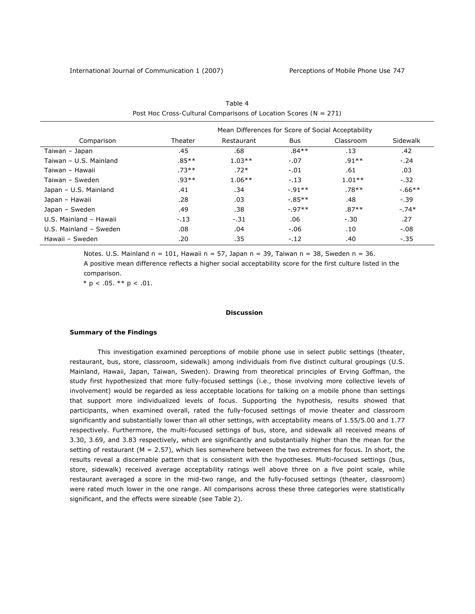|                        | Mean Differences for Score of Social Acceptability |            |          |           |          |
|------------------------|----------------------------------------------------|------------|----------|-----------|----------|
| Comparison             | Theater                                            | Restaurant | Bus      | Classroom | Sidewalk |
| Taiwan - Japan         | .45                                                | .68        | $.84**$  | .13       | .42      |
| Taiwan - U.S. Mainland | .85**                                              | $1.03**$   | $-.07$   | $.91**$   | $-.24$   |
| Taiwan - Hawaii        | $.73**$                                            | $.72*$     | $-.01$   | .61       | .03      |
| Taiwan - Sweden        | $.93**$                                            | $1.06**$   | $-.13$   | $1.01**$  | $-.32$   |
| Japan - U.S. Mainland  | .41                                                | .34        | $-91**$  | $.78**$   | $-66**$  |
| Japan - Hawaii         | .28                                                | .03        | $-.85**$ | .48       | $-0.39$  |
| Japan - Sweden         | .49                                                | .38        | $-.97**$ | $.87**$   | $-.74*$  |
| U.S. Mainland - Hawaii | $-.13$                                             | $-.31$     | .06      | $-.30$    | .27      |
| U.S. Mainland - Sweden | .08                                                | .04        | $-.06$   | .10       | $-.08$   |
| Hawaii - Sweden        | .20                                                | .35        | $-.12$   | .40       | $-0.35$  |

| Table 4                                                          |
|------------------------------------------------------------------|
| Post Hoc Cross-Cultural Comparisons of Location Scores (N = 271) |

*Notes.* U.S. Mainland *n* = 101, Hawaii *n* = 57, Japan *n* = 39, Taiwan *n* = 38, Sweden *n* = 36. A positive mean difference reflects a higher social acceptability score for the first culture listed in the comparison.

 $* p < .05$ . \*\*  $p < .01$ .

#### **Discussion**

## *Summary of the Findings*

 This investigation examined perceptions of mobile phone use in select public settings (theater, restaurant, bus, store, classroom, sidewalk) among individuals from five distinct cultural groupings (U.S. Mainland, Hawaii, Japan, Taiwan, Sweden). Drawing from theoretical principles of Erving Goffman, the study first hypothesized that more fully-focused settings (i.e., those involving more collective levels of involvement) would be regarded as less acceptable locations for talking on a mobile phone than settings that support more individualized levels of focus. Supporting the hypothesis, results showed that participants, when examined overall, rated the fully-focused settings of movie theater and classroom significantly and substantially lower than all other settings, with acceptability means of 1.55/5.00 and 1.77 respectively. Furthermore, the multi-focused settings of bus, store, and sidewalk all received means of 3.30, 3.69, and 3.83 respectively, which are significantly and substantially higher than the mean for the setting of restaurant (*M* = 2.57), which lies somewhere between the two extremes for focus. In short, the results reveal a discernable pattern that is consistent with the hypotheses. Multi-focused settings (bus, store, sidewalk) received average acceptability ratings well above three on a five point scale, while restaurant averaged a score in the mid-two range, and the fully-focused settings (theater, classroom) were rated much lower in the one range. All comparisons across these three categories were statistically significant, and the effects were sizeable (see Table 2).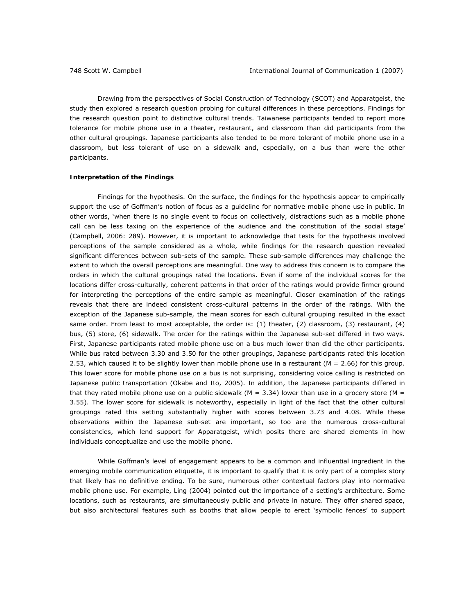Drawing from the perspectives of Social Construction of Technology (SCOT) and Apparatgeist, the study then explored a research question probing for cultural differences in these perceptions. Findings for the research question point to distinctive cultural trends. Taiwanese participants tended to report more tolerance for mobile phone use in a theater, restaurant, and classroom than did participants from the other cultural groupings. Japanese participants also tended to be more tolerant of mobile phone use in a classroom, but less tolerant of use on a sidewalk and, especially, on a bus than were the other participants.

### *Interpretation of the Findings*

 *Findings for the hypothesis.* On the surface, the findings for the hypothesis appear to empirically support the use of Goffman's notion of focus as a guideline for normative mobile phone use in public. In other words, 'when there is no single event to focus on collectively, distractions such as a mobile phone call can be less taxing on the experience of the audience and the constitution of the social stage' (Campbell, 2006: 289). However, it is important to acknowledge that tests for the hypothesis involved perceptions of the sample considered as a whole, while findings for the research question revealed significant differences between sub-sets of the sample. These sub-sample differences may challenge the extent to which the overall perceptions are meaningful. One way to address this concern is to compare the orders in which the cultural groupings rated the locations. Even if some of the individual scores for the locations differ cross-culturally, coherent patterns in that order of the ratings would provide firmer ground for interpreting the perceptions of the entire sample as meaningful. Closer examination of the ratings reveals that there are indeed consistent cross-cultural patterns in the order of the ratings. With the exception of the Japanese sub-sample, the mean scores for each cultural grouping resulted in the exact same order. From least to most acceptable, the order is: (1) theater, (2) classroom, (3) restaurant, (4) bus, (5) store, (6) sidewalk. The order for the ratings within the Japanese sub-set differed in two ways. First, Japanese participants rated mobile phone use on a bus much lower than did the other participants. While bus rated between 3.30 and 3.50 for the other groupings, Japanese participants rated this location 2.53, which caused it to be slightly lower than mobile phone use in a restaurant (*M* = 2.66) for this group. This lower score for mobile phone use on a bus is not surprising, considering voice calling is restricted on Japanese public transportation (Okabe and Ito, 2005). In addition, the Japanese participants differed in that they rated mobile phone use on a public sidewalk (*M* = 3.34) lower than use in a grocery store (*M* = 3.55). The lower score for sidewalk is noteworthy, especially in light of the fact that the other cultural groupings rated this setting substantially higher with scores between 3.73 and 4.08. While these observations within the Japanese sub-set are important, so too are the numerous cross-cultural consistencies, which lend support for Apparatgeist, which posits there are shared elements in how individuals conceptualize and use the mobile phone.

While Goffman's level of engagement appears to be a common and influential ingredient in the emerging mobile communication etiquette, it is important to qualify that it is only part of a complex story that likely has no definitive ending. To be sure, numerous other contextual factors play into normative mobile phone use. For example, Ling (2004) pointed out the importance of a setting's architecture. Some locations, such as restaurants, are simultaneously public and private in nature. They offer shared space, but also architectural features such as booths that allow people to erect 'symbolic fences' to support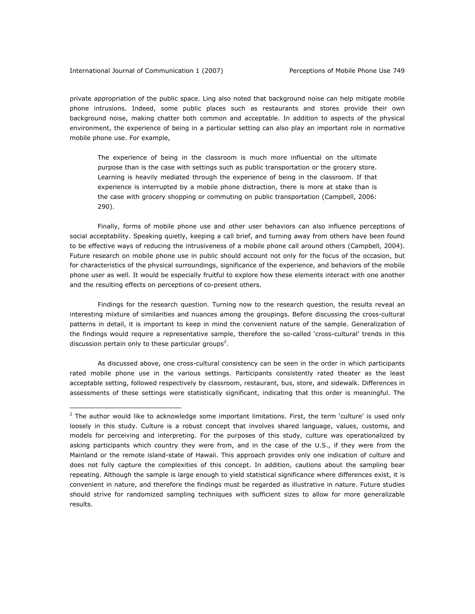$\overline{a}$ 

private appropriation of the public space. Ling also noted that background noise can help mitigate mobile phone intrusions. Indeed, some public places such as restaurants and stores provide their own background noise, making chatter both common and acceptable. In addition to aspects of the physical environment, the experience of being in a particular setting can also play an important role in normative mobile phone use. For example,

The experience of being in the classroom is much more influential on the ultimate purpose than is the case with settings such as public transportation or the grocery store. Learning is heavily mediated through the experience of being in the classroom. If that experience is interrupted by a mobile phone distraction, there is more at stake than is the case with grocery shopping or commuting on public transportation (Campbell, 2006: 290).

Finally, forms of mobile phone use and other user behaviors can also influence perceptions of social acceptability. Speaking quietly, keeping a call brief, and turning away from others have been found to be effective ways of reducing the intrusiveness of a mobile phone call around others (Campbell, 2004). Future research on mobile phone use in public should account not only for the focus of the occasion, but for characteristics of the physical surroundings, significance of the experience, and behaviors of the mobile phone user as well. It would be especially fruitful to explore how these elements interact with one another and the resulting effects on perceptions of co-present others.

*Findings for the research question.* Turning now to the research question, the results reveal an interesting mixture of similarities and nuances among the groupings. Before discussing the cross-cultural patterns in detail, it is important to keep in mind the convenient nature of the sample. Generalization of the findings would require a representative sample, therefore the so-called 'cross-cultural' trends in this discussion pertain only to these particular groups<sup>2</sup>.

As discussed above, one cross-cultural consistency can be seen in the order in which participants rated mobile phone use in the various settings. Participants consistently rated theater as the least acceptable setting, followed respectively by classroom, restaurant, bus, store, and sidewalk. Differences in assessments of these settings were statistically significant, indicating that this order is meaningful. The

 $<sup>2</sup>$  The author would like to acknowledge some important limitations. First, the term 'culture' is used only</sup> loosely in this study. Culture is a robust concept that involves shared language, values, customs, and models for perceiving and interpreting. For the purposes of this study, culture was operationalized by asking participants which country they were from, and in the case of the U.S., if they were from the Mainland or the remote island-state of Hawaii. This approach provides only one indication of culture and does not fully capture the complexities of this concept. In addition, cautions about the sampling bear repeating. Although the sample is large enough to yield statistical significance where differences exist, it is convenient in nature, and therefore the findings must be regarded as illustrative in nature. Future studies should strive for randomized sampling techniques with sufficient sizes to allow for more generalizable results.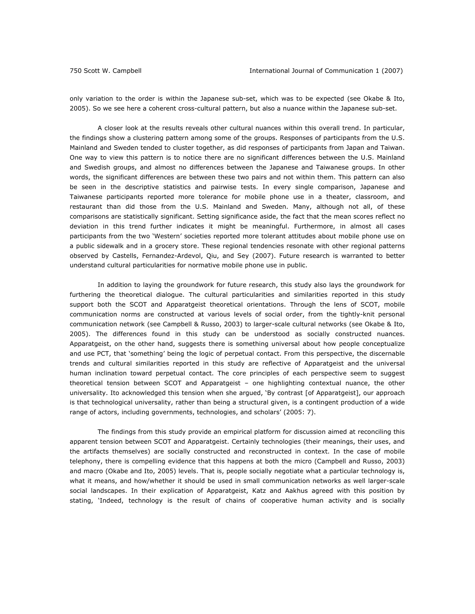only variation to the order is within the Japanese sub-set, which was to be expected (see Okabe & Ito, 2005). So we see here a coherent cross-cultural pattern, but also a nuance within the Japanese sub-set.

A closer look at the results reveals other cultural nuances within this overall trend. In particular, the findings show a clustering pattern among some of the groups. Responses of participants from the U.S. Mainland and Sweden tended to cluster together, as did responses of participants from Japan and Taiwan. One way to view this pattern is to notice there are no significant differences between the U.S. Mainland and Swedish groups, and almost no differences between the Japanese and Taiwanese groups. In other words, the significant differences are between these two pairs and not within them. This pattern can also be seen in the descriptive statistics and pairwise tests. In every single comparison, Japanese and Taiwanese participants reported more tolerance for mobile phone use in a theater, classroom, and restaurant than did those from the U.S. Mainland and Sweden. Many, although not all, of these comparisons are statistically significant. Setting significance aside, the fact that the mean scores reflect no deviation in this trend further indicates it might be meaningful. Furthermore, in almost all cases participants from the two 'Western' societies reported more tolerant attitudes about mobile phone use on a public sidewalk and in a grocery store. These regional tendencies resonate with other regional patterns observed by Castells, Fernandez-Ardevol, Qiu, and Sey (2007). Future research is warranted to better understand cultural particularities for normative mobile phone use in public.

In addition to laying the groundwork for future research, this study also lays the groundwork for furthering the theoretical dialogue. The cultural particularities and similarities reported in this study support both the SCOT and Apparatgeist theoretical orientations. Through the lens of SCOT, mobile communication norms are constructed at various levels of social order, from the tightly-knit personal communication network (see Campbell & Russo, 2003) to larger-scale cultural networks (see Okabe & Ito, 2005). The differences found in this study can be understood as socially constructed nuances. Apparatgeist, on the other hand, suggests there is something universal about how people conceptualize and use PCT, that 'something' being the logic of perpetual contact. From this perspective, the discernable trends and cultural similarities reported in this study are reflective of Apparatgeist and the universal human inclination toward perpetual contact. The core principles of each perspective seem to suggest theoretical tension between SCOT and Apparatgeist – one highlighting contextual nuance, the other universality. Ito acknowledged this tension when she argued, 'By contrast [of Apparatgeist], our approach is that technological universality, rather than being a structural given, is a contingent production of a wide range of actors, including governments, technologies, and scholars' (2005: 7).

The findings from this study provide an empirical platform for discussion aimed at reconciling this apparent tension between SCOT and Apparatgeist. Certainly technologies (their meanings, their uses, and the artifacts themselves) are socially constructed and reconstructed in context. In the case of mobile telephony, there is compelling evidence that this happens at both the micro (Campbell and Russo, 2003) and macro (Okabe and Ito, 2005) levels. That is, people socially negotiate what a particular technology is, what it means, and how/whether it should be used in small communication networks as well larger-scale social landscapes. In their explication of Apparatgeist, Katz and Aakhus agreed with this position by stating, 'Indeed, technology is the result of chains of cooperative human activity and is socially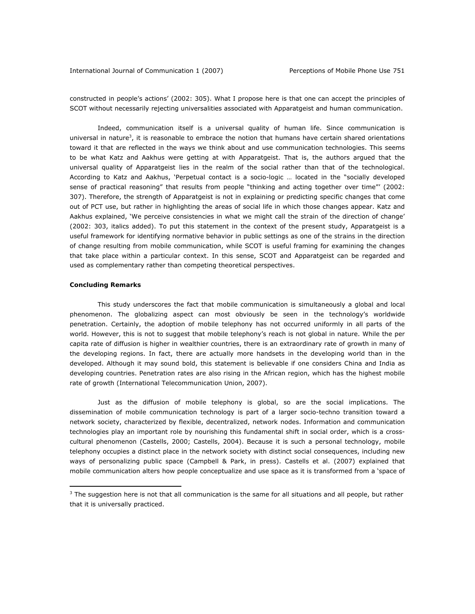constructed in people's actions' (2002: 305). What I propose here is that one can accept the principles of SCOT without necessarily rejecting universalities associated with Apparatgeist and human communication.

Indeed, communication itself *is* a universal quality of human life. Since communication is universal in nature<sup>3</sup>, it is reasonable to embrace the notion that humans have certain shared orientations toward it that are reflected in the ways we think about and use communication technologies. This seems to be what Katz and Aakhus were getting at with Apparatgeist. That is, the authors argued that the universal quality of Apparatgeist lies in the realm of the social rather than that of the technological. According to Katz and Aakhus, 'Perpetual contact is a socio-logic … located in the "socially developed sense of practical reasoning" that results from people "thinking and acting together over time"' (2002: 307). Therefore, the strength of Apparatgeist is not in explaining or predicting specific changes that come out of PCT use, but rather in highlighting the areas of social life in which those changes appear. Katz and Aakhus explained, 'We perceive consistencies in what we might call the *strain of the direction* of change' (2002: 303, italics added). To put this statement in the context of the present study, Apparatgeist is a useful framework for identifying normative behavior in public settings as one of the *strains in the direction*  of change resulting from mobile communication, while SCOT is useful framing for examining the changes that take place within a particular context. In this sense, SCOT and Apparatgeist can be regarded and used as complementary rather than competing theoretical perspectives.

# *Concluding Remarks*

 $\overline{a}$ 

This study underscores the fact that mobile communication is simultaneously a global and local phenomenon. The globalizing aspect can most obviously be seen in the technology's worldwide penetration. Certainly, the adoption of mobile telephony has not occurred uniformly in all parts of the world. However, this is not to suggest that mobile telephony's reach is not global in nature. While the per capita rate of diffusion is higher in wealthier countries, there is an extraordinary rate of growth in many of the developing regions. In fact, there are actually more handsets in the developing world than in the developed. Although it may sound bold, this statement is believable if one considers China and India as developing countries. Penetration rates are also rising in the African region, which has the highest mobile rate of growth (International Telecommunication Union, 2007).

Just as the diffusion of mobile telephony is global, so are the social implications. The dissemination of mobile communication technology is part of a larger socio-techno transition toward a network society, characterized by flexible, decentralized, network nodes. Information and communication technologies play an important role by nourishing this fundamental shift in social order, which is a crosscultural phenomenon (Castells, 2000; Castells, 2004). Because it is such a personal technology, mobile telephony occupies a distinct place in the network society with distinct social consequences, including new ways of personalizing public space (Campbell & Park, in press). Castells et al. (2007) explained that mobile communication alters how people conceptualize and use space as it is transformed from a 'space of

 $3$  The suggestion here is not that all communication is the same for all situations and all people, but rather that it is universally practiced.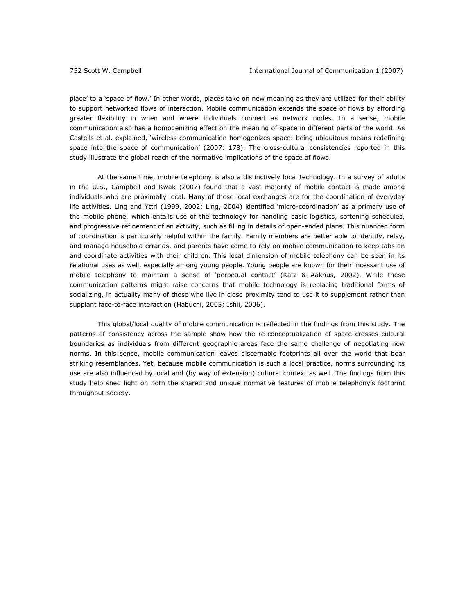place' to a 'space of flow.' In other words, places take on new meaning as they are utilized for their ability to support networked flows of interaction. Mobile communication extends the space of flows by affording greater flexibility in when and where individuals connect as network nodes. In a sense, mobile communication also has a homogenizing effect on the meaning of space in different parts of the world. As Castells et al. explained, 'wireless communication homogenizes space: being ubiquitous means redefining space into the space of communication' (2007: 178). The cross-cultural consistencies reported in this study illustrate the global reach of the normative implications of the space of flows.

At the same time, mobile telephony is also a distinctively local technology. In a survey of adults in the U.S., Campbell and Kwak (2007) found that a vast majority of mobile contact is made among individuals who are proximally local. Many of these local exchanges are for the coordination of everyday life activities. Ling and Yttri (1999, 2002; Ling, 2004) identified 'micro-coordination' as a primary use of the mobile phone, which entails use of the technology for handling basic logistics, softening schedules, and progressive refinement of an activity, such as filling in details of open-ended plans. This nuanced form of coordination is particularly helpful within the family. Family members are better able to identify, relay, and manage household errands, and parents have come to rely on mobile communication to keep tabs on and coordinate activities with their children. This local dimension of mobile telephony can be seen in its relational uses as well, especially among young people. Young people are known for their incessant use of mobile telephony to maintain a sense of 'perpetual contact' (Katz & Aakhus, 2002). While these communication patterns might raise concerns that mobile technology is replacing traditional forms of socializing, in actuality many of those who live in close proximity tend to use it to supplement rather than supplant face-to-face interaction (Habuchi, 2005; Ishii, 2006).

This global/local duality of mobile communication is reflected in the findings from this study. The patterns of consistency across the sample show how the re-conceptualization of space crosses cultural boundaries as individuals from different geographic areas face the same challenge of negotiating new norms. In this sense, mobile communication leaves discernable footprints all over the world that bear striking resemblances. Yet, because mobile communication is such a local practice, norms surrounding its use are also influenced by local and (by way of extension) cultural context as well. The findings from this study help shed light on both the shared and unique normative features of mobile telephony's footprint throughout society.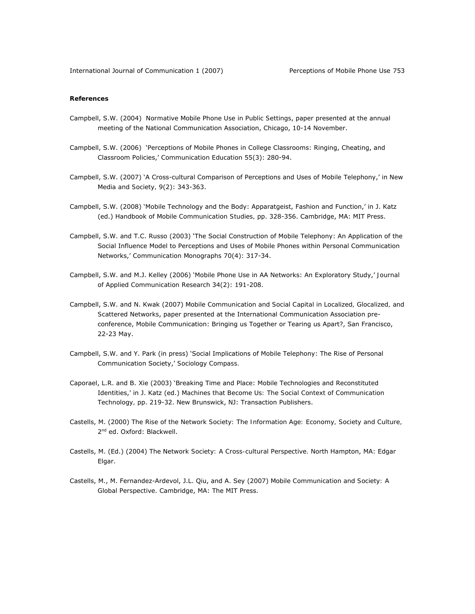# **References**

- Campbell, S.W. (2004) *Normative Mobile Phone Use in Public Settings*, paper presented at the annual meeting of the National Communication Association, Chicago, 10-14 November.
- Campbell, S.W. (2006) 'Perceptions of Mobile Phones in College Classrooms: Ringing, Cheating, and Classroom Policies,' *Communication Education* 55(3): 280-94.
- Campbell, S.W. (2007) 'A Cross-cultural Comparison of Perceptions and Uses of Mobile Telephony,' in *New Media and Society,* 9(2): 343-363.
- Campbell, S.W. (2008) 'Mobile Technology and the Body: Apparatgeist, Fashion and Function,' in J. Katz (ed.) *Handbook of Mobile Communication Studies,* pp. 328-356. Cambridge, MA: MIT Press.
- Campbell, S.W. and T.C. Russo (2003) 'The Social Construction of Mobile Telephony: An Application of the Social Influence Model to Perceptions and Uses of Mobile Phones within Personal Communication Networks,' *Communication Monographs* 70(4): 317-34.
- Campbell, S.W. and M.J. Kelley (2006) 'Mobile Phone Use in AA Networks: An Exploratory Study,' *Journal of Applied Communication Research* 34(2): 191-208.
- Campbell, S.W. and N. Kwak (2007) *Mobile Communication and Social Capital in Localized, Glocalized, and Scattered Networks*, paper presented at the International Communication Association preconference, Mobile Communication: Bringing us Together or Tearing us Apart?, San Francisco, 22-23 May.
- Campbell, S.W. and Y. Park (in press) 'Social Implications of Mobile Telephony: The Rise of Personal Communication Society,' *Sociology Compass.*
- Caporael, L.R. and B. Xie (2003) 'Breaking Time and Place: Mobile Technologies and Reconstituted Identities,' in J. Katz (ed.) *Machines that Become Us: The Social Context of Communication Technology,* pp. 219-32. New Brunswick, NJ: Transaction Publishers.
- Castells, M. (2000) *The Rise of the Network Society: The Information Age: Economy, Society and Culture,*  2<sup>nd</sup> ed. Oxford: Blackwell.
- Castells, M. (Ed.) (2004) *The Network Society: A Cross-cultural Perspective.* North Hampton, MA: Edgar Elgar.
- Castells, M., M. Fernandez-Ardevol, J.L. Qiu, and A. Sey (2007) *Mobile Communication and Society: A Global Perspective*. Cambridge, MA: The MIT Press.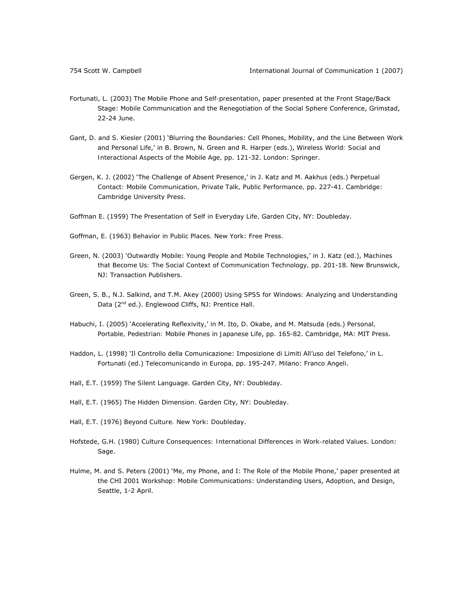- Fortunati, L. (2003) *The Mobile Phone and Self-presentation*, paper presented at the Front Stage/Back Stage: Mobile Communication and the Renegotiation of the Social Sphere Conference, Grimstad, 22-24 June.
- Gant, D. and S. Kiesler (2001) 'Blurring the Boundaries: Cell Phones, Mobility, and the Line Between Work and Personal Life,' in B. Brown, N. Green and R. Harper (eds.), *Wireless World: Social and Interactional Aspects of the Mobile Age,* pp. 121-32. London: Springer.
- Gergen, K. J. (2002) 'The Challenge of Absent Presence,' in J. Katz and M. Aakhus (eds.) *Perpetual Contact: Mobile Communication, Private Talk, Public Performance,* pp. 227-41. Cambridge: Cambridge University Press.
- Goffman E. (1959) *The Presentation of Self in Everyday Life*. Garden City, NY: Doubleday.
- Goffman, E. (1963) *Behavior in Public Places.* New York: Free Press.
- Green, N. (2003) 'Outwardly Mobile: Young People and Mobile Technologies,' in J. Katz (ed.), *Machines that Become Us: The Social Context of Communication Technology,* pp. 201-18. New Brunswick, NJ: Transaction Publishers.
- Green, S. B., N.J. Salkind, and T.M. Akey (2000) *Using SPSS for Windows: Analyzing and Understanding*  Data (2<sup>nd</sup> ed.). Englewood Cliffs, NJ: Prentice Hall.
- Habuchi, I. (2005) 'Accelerating Reflexivity,' in M. Ito, D. Okabe, and M. Matsuda (eds.) *Personal, Portable, Pedestrian: Mobile Phones in Japanese Life*, pp. 165-82. Cambridge, MA: MIT Press.
- Haddon, L. (1998) 'Il Controllo della Comunicazione: Imposizione di Limiti All'uso del Telefono,' in L. Fortunati (ed.) *Telecomunicando in Europa,* pp. 195-247. Milano: Franco Angeli.
- Hall, E.T. (1959) *The Silent Language.* Garden City, NY: Doubleday.
- Hall, E.T. (1965) *The Hidden Dimension.* Garden City, NY: Doubleday.
- Hall, E.T. (1976) *Beyond Culture.* New York: Doubleday.
- Hofstede, G.H. (1980) *Culture Consequences: International Differences in Work-related Values*. London: Sage.
- Hulme, M. and S. Peters (2001) 'Me, my Phone, and I: The Role of the Mobile Phone,' paper presented at the CHI 2001 Workshop: Mobile Communications: Understanding Users, Adoption, and Design, Seattle, 1-2 April.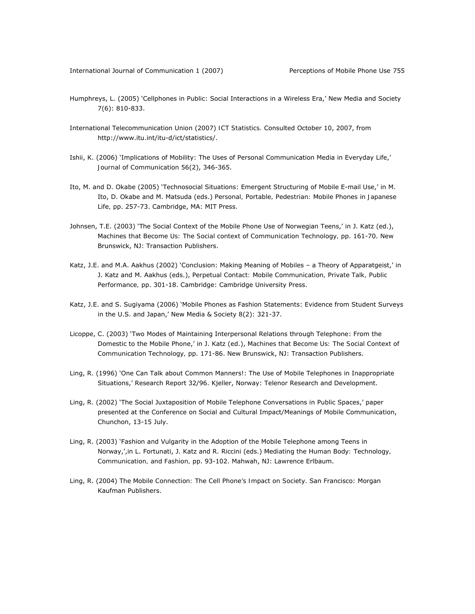- Humphreys, L. (2005) 'Cellphones in Public: Social Interactions in a Wireless Era,' New Media and Society 7(6): 810-833.
- International Telecommunication Union (2007) *ICT Statistics.* Consulted October 10, 2007, from http://www.itu.int/itu-d/ict/statistics/.
- Ishii, K. (2006) 'Implications of Mobility: The Uses of Personal Communication Media in Everyday Life,' *Journal of Communication* 56(2), 346-365.
- Ito, M. and D. Okabe (2005) 'Technosocial Situations: Emergent Structuring of Mobile E-mail Use,' in M. Ito, D. Okabe and M. Matsuda (eds.) *Personal, Portable, Pedestrian: Mobile Phones in Japanese Life,* pp. 257-73. Cambridge, MA: MIT Press.
- Johnsen, T.E. (2003) 'The Social Context of the Mobile Phone Use of Norwegian Teens,' in J. Katz (ed.), *Machines that Become Us: The Social context of Communication Technology,* pp. 161-70. New Brunswick, NJ: Transaction Publishers.
- Katz, J.E. and M.A. Aakhus (2002) 'Conclusion: Making Meaning of Mobiles a Theory of Apparatgeist,' in J. Katz and M. Aakhus (eds.), *Perpetual Contact: Mobile Communication, Private Talk, Public Performance,* pp. 301-18. Cambridge: Cambridge University Press.
- Katz, J.E. and S. Sugiyama (2006) 'Mobile Phones as Fashion Statements: Evidence from Student Surveys in the U.S. and Japan,' *New Media & Society* 8(2): 321-37.
- Licoppe, C. (2003) 'Two Modes of Maintaining Interpersonal Relations through Telephone: From the Domestic to the Mobile Phone,' in J. Katz (ed.), *Machines that Become Us: The Social Context of Communication Technology,* pp. 171-86. New Brunswick, NJ: Transaction Publishers.
- Ling, R. (1996) 'One Can Talk about Common Manners!: The Use of Mobile Telephones in Inappropriate Situations,' Research Report 32/96. Kjeller, Norway: Telenor Research and Development.
- Ling, R. (2002) 'The Social Juxtaposition of Mobile Telephone Conversations in Public Spaces,' paper presented at the Conference on Social and Cultural Impact/Meanings of Mobile Communication, Chunchon, 13-15 July.
- Ling, R. (2003) 'Fashion and Vulgarity in the Adoption of the Mobile Telephone among Teens in Norway,',in L. Fortunati, J. Katz and R. Riccini (eds.) *Mediating the Human Body: Technology, Communication, and Fashion,* pp. 93-102. Mahwah, NJ: Lawrence Erlbaum.
- Ling, R. (2004) *The Mobile Connection: The Cell Phone's Impact on Society.* San Francisco: Morgan Kaufman Publishers.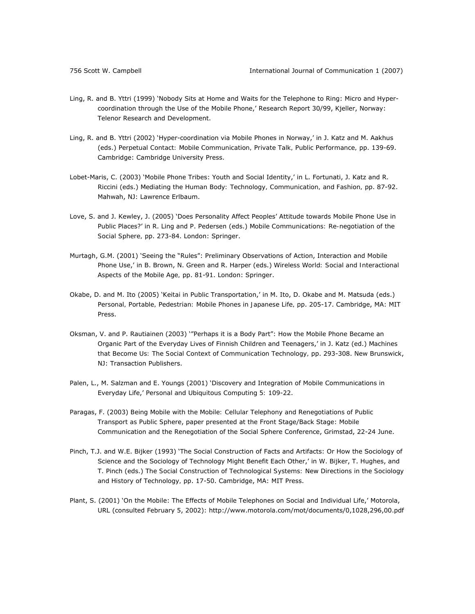- Ling, R. and B. Yttri (1999) 'Nobody Sits at Home and Waits for the Telephone to Ring: Micro and Hypercoordination through the Use of the Mobile Phone,' Research Report 30/99, Kjeller, Norway: Telenor Research and Development.
- Ling, R. and B. Yttri (2002) 'Hyper-coordination via Mobile Phones in Norway,' in J. Katz and M. Aakhus (eds.) *Perpetual Contact: Mobile Communication, Private Talk, Public Performance,* pp. 139-69. Cambridge: Cambridge University Press.
- Lobet-Maris, C. (2003) 'Mobile Phone Tribes: Youth and Social Identity,' in L. Fortunati, J. Katz and R. Riccini (eds.) *Mediating the Human Body: Technology, Communication, and Fashion,* pp. 87-92. Mahwah, NJ: Lawrence Erlbaum.
- Love, S. and J. Kewley, J. (2005) 'Does Personality Affect Peoples' Attitude towards Mobile Phone Use in Public Places?' in R. Ling and P. Pedersen (eds.) *Mobile Communications: Re-negotiation of the Social Sphere,* pp. 273-84. London: Springer.
- Murtagh, G.M. (2001) 'Seeing the "Rules": Preliminary Observations of Action, Interaction and Mobile Phone Use,' in B. Brown, N. Green and R. Harper (eds.) *Wireless World: Social and Interactional Aspects of the Mobile Age,* pp. 81-91. London: Springer.
- Okabe, D. and M. Ito (2005) '*Keitai* in Public Transportation,' in M. Ito, D. Okabe and M. Matsuda (eds.) *Personal, Portable, Pedestrian: Mobile Phones in Japanese Life,* pp. 205-17. Cambridge, MA: MIT Press.
- Oksman, V. and P. Rautiainen (2003) '"Perhaps it is a Body Part": How the Mobile Phone Became an Organic Part of the Everyday Lives of Finnish Children and Teenagers,' in J. Katz (ed.) *Machines that Become Us: The Social Context of Communication Technology,* pp. 293-308. New Brunswick, NJ: Transaction Publishers.
- Palen, L., M. Salzman and E. Youngs (2001) 'Discovery and Integration of Mobile Communications in Everyday Life,' *Personal and Ubiquitous Computing 5:* 109-22.
- Paragas, F. (2003) *Being Mobile with the Mobile: Cellular Telephony and Renegotiations of Public Transport as Public Sphere*, paper presented at the Front Stage/Back Stage: Mobile Communication and the Renegotiation of the Social Sphere Conference, Grimstad, 22-24 June.
- Pinch, T.J. and W.E. Bijker (1993) 'The Social Construction of Facts and Artifacts: Or How the Sociology of Science and the Sociology of Technology Might Benefit Each Other,' in W. Bijker, T. Hughes, and T. Pinch (eds.) *The Social Construction of Technological Systems: New Directions in the Sociology and History of Technology,* pp. 17-50. Cambridge, MA: MIT Press.
- Plant, S. (2001) 'On the Mobile: The Effects of Mobile Telephones on Social and Individual Life,' Motorola, URL (consulted February 5, 2002): http://www.motorola.com/mot/documents/0,1028,296,00.pdf